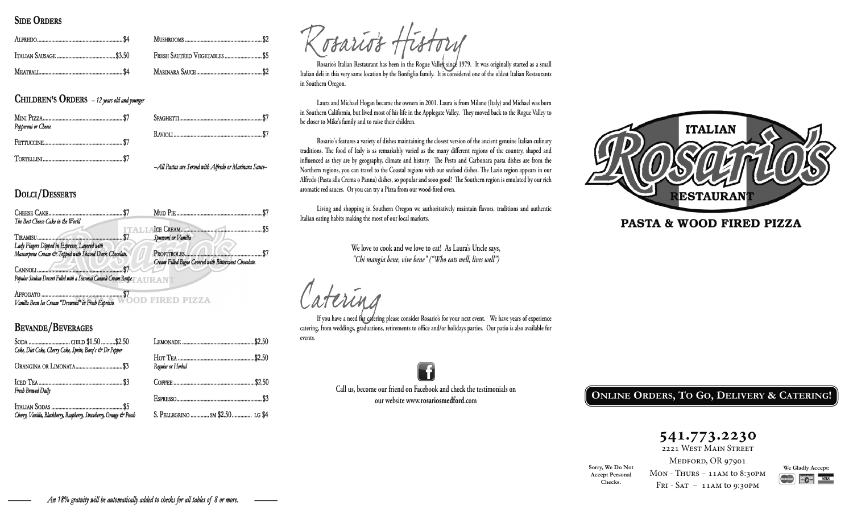#### **SIDE ORDERS**

| FRESH SAUTÉED VEGETABLES  \$5 |
|-------------------------------|
|                               |

**CHILDREN'S ORDERS** - 12 years old and younger

| Pepperoni or Cheese |                                                        |  |
|---------------------|--------------------------------------------------------|--|
|                     |                                                        |  |
|                     | -All Pastas are Served with Alfredo or Marinara Sauce- |  |

# DOLCI/DESSERTS



**OD FIRED PIZZA** Vanilla Bean Ice Cream "Drowned" in Fresh Espresso.

### **BEVANDE/BEVERAGES**

| Coke, Diet Coke, Cherry Coke, Sprite, Bara's & Dr Pepper           |                                  |
|--------------------------------------------------------------------|----------------------------------|
|                                                                    | Regular or Herbal                |
| Fresh Brewed Daily                                                 |                                  |
|                                                                    |                                  |
| Cherry, Vanilla, Blackberry, Raspherry, Strawberry, Orange & Peach | S. PELLEGRINO  SM \$2.50  LG \$4 |

Rosario's Italian Restaurant has been in the Rogue Vallex since 1979. It was originally started as a small Italian deli in this very same location by the Bonfiglio family. It is considered one of the oldest Italian Restaur in Southern Oregon.

Laura and Michael Hogan became the owners in 2001. Laura is from Milano (Italy) and Michael was born in Southern California, but lived most of his life in the Applegate Valley. They moved back to the Rogue Valley to be closer to Mike's family and to raise their children.

Rosario's features a variety of dishes maintaining the closest version of the ancient genuine Italian culinary traditions. The food of Italy is as remarkably varied as the many different regions of the country, shaped and influenced as they are by geography, climate and history. The Pesto and Carbonara pasta dishes are from the Northern regions, you can travel to the Coastal regions with our seafood dishes. The Lazio region appears in our Alfredo (Pasta alla Crema o Panna) dishes, so popular and sooo good! The Southern region is emulated by our rich aromatic red sauces. Or you can try a Pizza from our wood-fired oven.

Living and shopping in Southern Oregon we authoritatively maintain flavors, traditions and authentic Italian eating habits making the most of our local markets.

> We love to cook and we love to eat! As Laura's Uncle says, "Chi mangia bene, vive bene" ("Who eats well, lives well")

If you have a need for cafering please consider Rosario's for your next event. We have years of experience catering, from weddings, graduations, retirements to office and/or holidays parties. Our patio is also available for events.

> Call us, become our friend on Facebook and check the testimonials on our website www.rosariosmedford.com



# **PASTA & WOOD FIRED PIZZA**

ONLINE ORDERS, TO GO, DELIVERY & CATERING!

541.773.2230

2221 WEST MAIN STREET

Sorry, We Do Not **Accept Personal** Checks.

MEDFORD, OR 97901  $MON - THURS - 11AM$  to 8:30PM FRI - SAT  $-11AM$  to 9:30PM